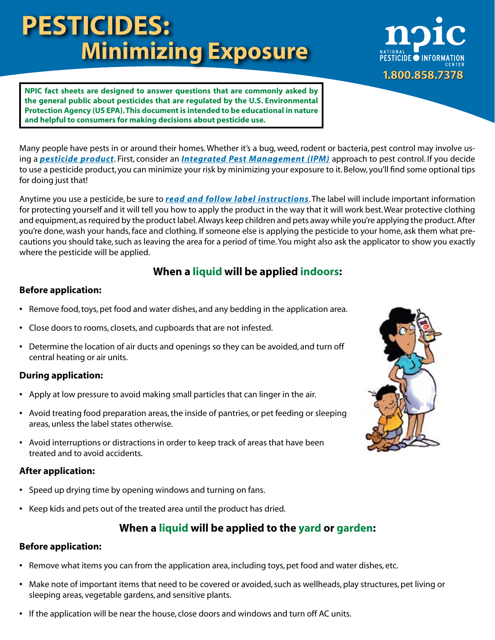# **PESTICIDES: Minimizing Exposure**



**NPIC fact sheets are designed to answer questions that are commonly asked by the general public about pesticides that are regulated by the U.S. Environmental Protection Agency (US EPA). This document is intended to be educational in nature and helpful to consumers for making decisions about pesticide use.**

Many people have pests in or around their homes. Whether it's a bug, weed, rodent or bacteria, pest control may involve using a *[pesticide product](http://npic.orst.edu/ingred/products.html)*. First, consider an *[Integrated Pest Management \(IPM\)](http://npic.orst.edu/pest/ipm.html)* approach to pest control. If you decide to use a pesticide product, you can minimize your risk by minimizing your exposure to it. Below, you'll find some optional tips for doing just that!

Anytime you use a pesticide, be sure to *[read and follow label instructions](http://npic.orst.edu/health/readlabel.html)*. The label will include important information for protecting yourself and it will tell you how to apply the product in the way that it will work best. Wear protective clothing and equipment, as required by the product label. Always keep children and pets away while you're applying the product. After you're done, wash your hands, face and clothing. If someone else is applying the pesticide to your home, ask them what precautions you should take, such as leaving the area for a period of time. You might also ask the applicator to show you exactly where the pesticide will be applied.

# **When a liquid will be applied indoors:**

## **Before application:**

- **•** Remove food, toys, pet food and water dishes, and any bedding in the application area.
- **•** Close doors to rooms, closets, and cupboards that are not infested.
- **•** Determine the location of air ducts and openings so they can be avoided, and turn off central heating or air units.

## **During application:**

- **•** Apply at low pressure to avoid making small particles that can linger in the air.
- **•** Avoid treating food preparation areas, the inside of pantries, or pet feeding or sleeping areas, unless the label states otherwise.
- **•** Avoid interruptions or distractions in order to keep track of areas that have been treated and to avoid accidents.

### **After application:**

- **•** Speed up drying time by opening windows and turning on fans.
- **•** Keep kids and pets out of the treated area until the product has dried.

# **When a liquid will be applied to the yard or garden:**

## **Before application:**

- **•** Remove what items you can from the application area, including toys, pet food and water dishes, etc.
- **•** Make note of important items that need to be covered or avoided, such as wellheads, play structures, pet living or sleeping areas, vegetable gardens, and sensitive plants.
- **•** If the application will be near the house, close doors and windows and turn off AC units.

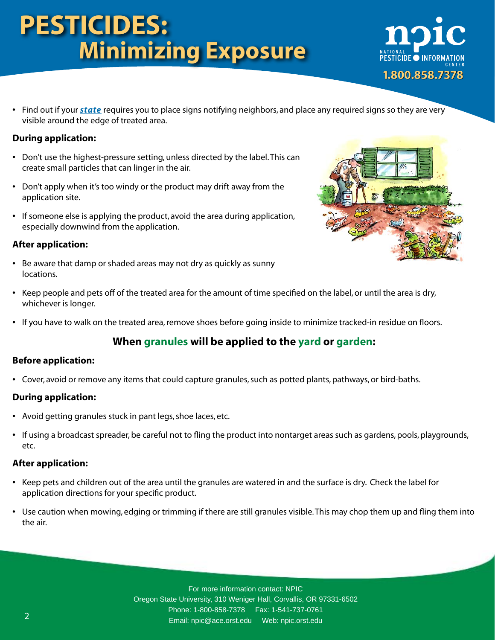# **PESTICIDES: Minimizing Exposure**



**•** Find out if your *[state](http://npic.orst.edu/reg/state_agencies.html)* requires you to place signs notifying neighbors, and place any required signs so they are very visible around the edge of treated area.

## **During application:**

- **•** Don't use the highest-pressure setting, unless directed by the label. This can create small particles that can linger in the air.
- **•** Don't apply when it's too windy or the product may drift away from the application site.
- **•** If someone else is applying the product, avoid the area during application, especially downwind from the application.

### **After application:**

**•** Be aware that damp or shaded areas may not dry as quickly as sunny locations.



- **•** Keep people and pets off of the treated area for the amount of time specified on the label, or until the area is dry, whichever is longer.
- **•** If you have to walk on the treated area, remove shoes before going inside to minimize tracked-in residue on floors.

# **When granules will be applied to the yard or garden:**

#### **Before application:**

**•** Cover, avoid or remove any items that could capture granules, such as potted plants, pathways, or bird-baths.

### **During application:**

- **•** Avoid getting granules stuck in pant legs, shoe laces, etc.
- **•** If using a broadcast spreader, be careful not to fling the product into nontarget areas such as gardens, pools, playgrounds, etc.

#### **After application:**

- **•** Keep pets and children out of the area until the granules are watered in and the surface is dry. Check the label for application directions for your specific product.
- **•** Use caution when mowing, edging or trimming if there are still granules visible. This may chop them up and fling them into the air.

For more information contact: NPIC Oregon State University, 310 Weniger Hall, Corvallis, OR 97331-6502 Phone: 1-800-858-7378 Fax: 1-541-737-0761 Email: npic@ace.orst.edu Web: [npic.orst.edu](http://www.npic.orst.edu)